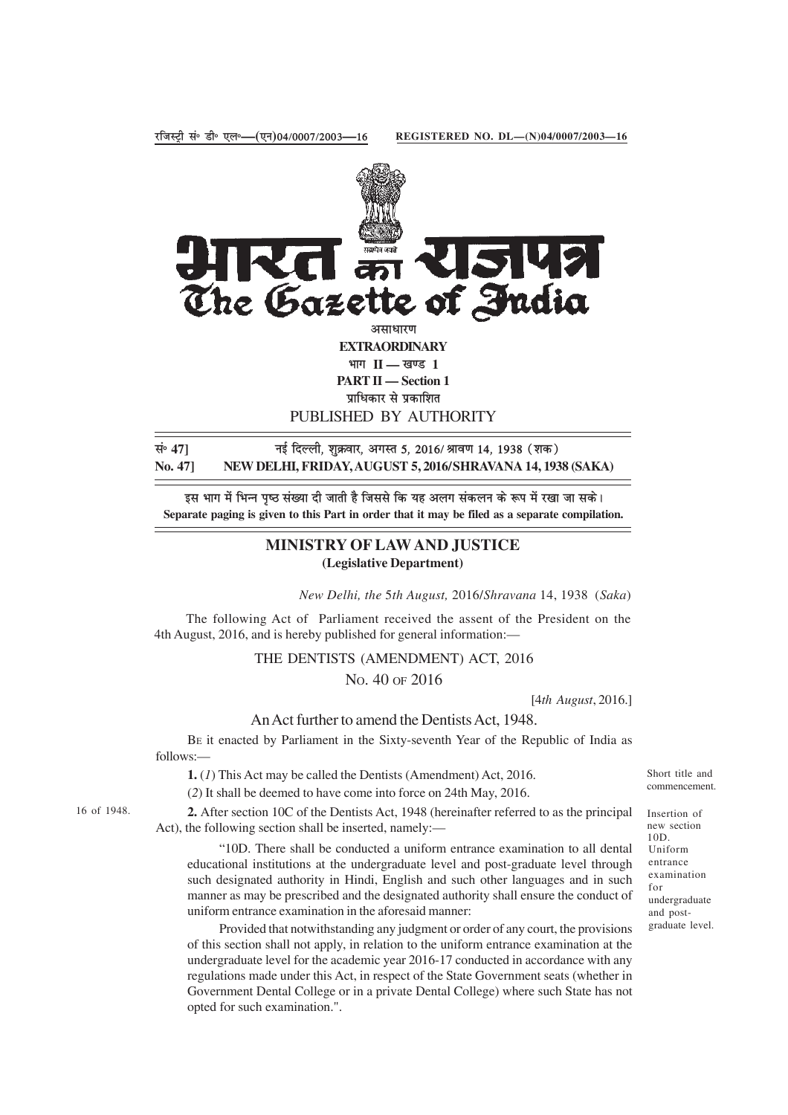

PUBLISHED BY AUTHORITY

lañ **47]** ubZ fnYyh] 'kqØokj] vxLr 5] 2016@Jko.k 14] 1938 ¼'kd½ **No. 47] NEW DELHI, FRIDAY, AUGUST 5, 2016/SHRAVANA 14, 1938 (SAKA)**

इस भाग में भिन्न पृष्ठ संख्या दी जाती है जिससे कि यह अलग संकलन के रूप में रखा जा सके। **Separate paging is given to this Part in order that it may be filed as a separate compilation.**

## **MINISTRY OF LAW AND JUSTICE (Legislative Department)**

*New Delhi, the* 5*th August,* 2016/*Shravana* 14, 1938 (*Saka*)

The following Act of Parliament received the assent of the President on the 4th August, 2016, and is hereby published for general information:—

## THE DENTISTS (AMENDMENT) ACT, 2016 NO. 40 OF 2016

[4*th August*, 2016.]

An Act further to amend the Dentists Act, 1948.

BE it enacted by Parliament in the Sixty-seventh Year of the Republic of India as follows:—

**1.** (*1*) This Act may be called the Dentists (Amendment) Act, 2016.

(*2*) It shall be deemed to have come into force on 24th May, 2016.

**2.** After section 10C of the Dentists Act, 1948 (hereinafter referred to as the principal Act), the following section shall be inserted, namely:—

"10D. There shall be conducted a uniform entrance examination to all dental educational institutions at the undergraduate level and post-graduate level through such designated authority in Hindi, English and such other languages and in such manner as may be prescribed and the designated authority shall ensure the conduct of uniform entrance examination in the aforesaid manner:

Provided that notwithstanding any judgment or order of any court, the provisions of this section shall not apply, in relation to the uniform entrance examination at the undergraduate level for the academic year 2016-17 conducted in accordance with any regulations made under this Act, in respect of the State Government seats (whether in Government Dental College or in a private Dental College) where such State has not opted for such examination.".

Short title and commencement.

Insertion of new section 10D. Uniform entrance examination for undergraduate and postgraduate level.

16 of 1948.